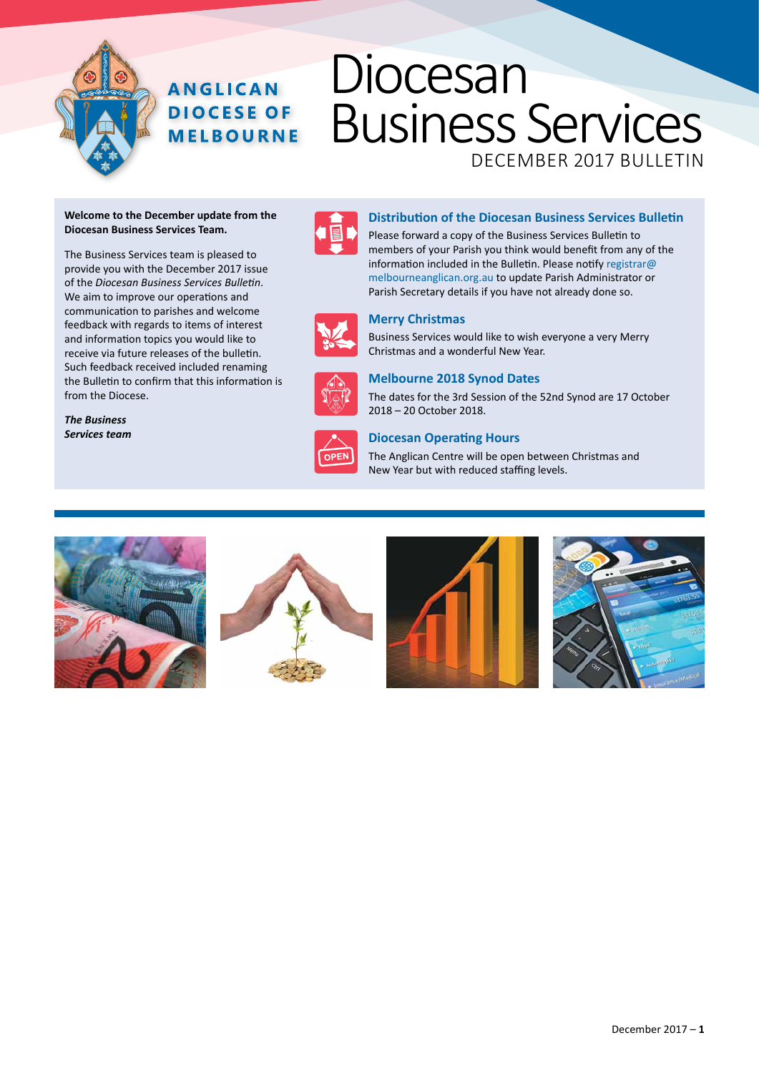# Diocesan Business Services

DECEMBER 2017 Bulletin

#### **Welcome to the December update from the Diocesan Business Services Team.**

**ANGLICAN DIOCESE OF MELBOURNE** 

The Business Services team is pleased to provide you with the December 2017 issue of the *Diocesan Business Services Bulletin*. We aim to improve our operations and communication to parishes and welcome feedback with regards to items of interest and information topics you would like to receive via future releases of the bulletin. Such feedback received included renaming the Bulletin to confirm that this information is from the Diocese.



### **Distribution of the Diocesan Business Services Bulletin**

Please forward a copy of the Business Services Bulletin to members of your Parish you think would benefit from any of the information included in the Bulletin. Please notify registrar@ melbourneanglican.org.au to update Parish Administrator or Parish Secretary details if you have not already done so.



### **Merry Christmas**

Business Services would like to wish everyone a very Merry Christmas and a wonderful New Year.

The dates for the 3rd Session of the 52nd Synod are 17 October



### *The Business Services team*



### 2018 – 20 October 2018.

**Melbourne 2018 Synod Dates**

**Diocesan Operating Hours** The Anglican Centre will be open between Christmas and New Year but with reduced staffing levels.







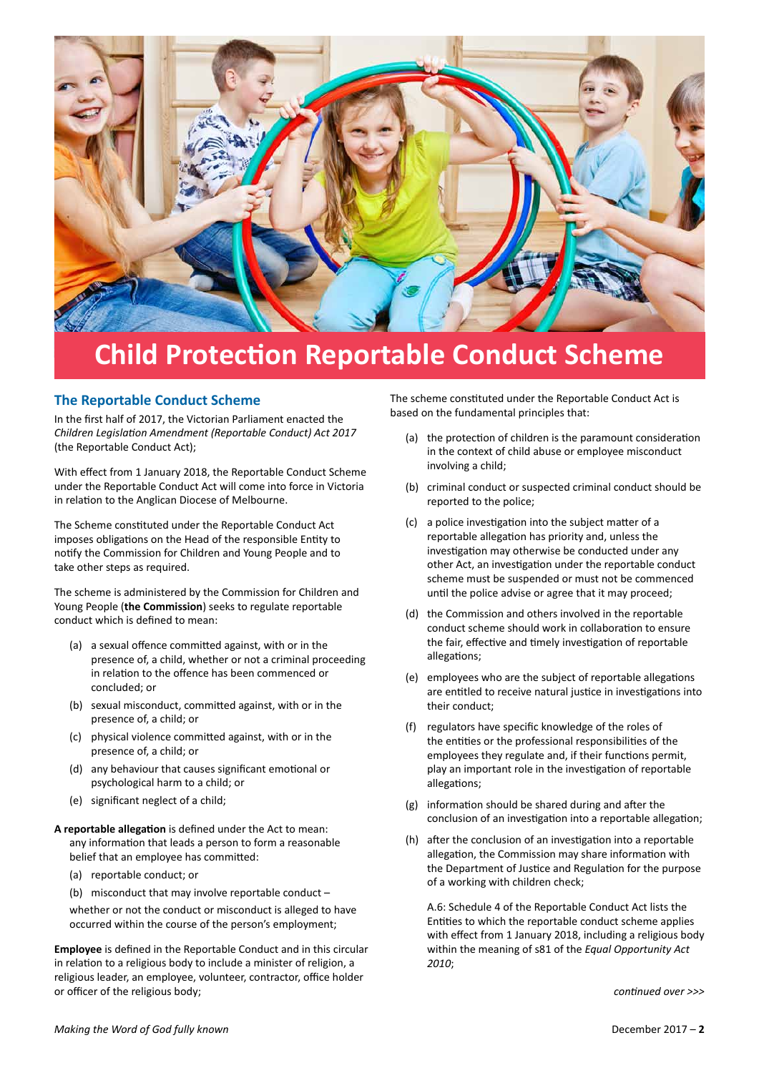

## **Child Protection Reportable Conduct Scheme**

### **The Reportable Conduct Scheme**

In the first half of 2017, the Victorian Parliament enacted the *Children Legislation Amendment (Reportable Conduct) Act 2017* (the Reportable Conduct Act);

With effect from 1 January 2018, the Reportable Conduct Scheme under the Reportable Conduct Act will come into force in Victoria in relation to the Anglican Diocese of Melbourne.

The Scheme constituted under the Reportable Conduct Act imposes obligations on the Head of the responsible Entity to notify the Commission for Children and Young People and to take other steps as required.

The scheme is administered by the Commission for Children and Young People (**the Commission**) seeks to regulate reportable conduct which is defined to mean:

- (a) a sexual offence committed against, with or in the presence of, a child, whether or not a criminal proceeding in relation to the offence has been commenced or concluded; or
- (b) sexual misconduct, committed against, with or in the presence of, a child; or
- (c) physical violence committed against, with or in the presence of, a child; or
- (d) any behaviour that causes significant emotional or psychological harm to a child; or
- (e) significant neglect of a child;
- **A reportable allegation** is defined under the Act to mean: any information that leads a person to form a reasonable belief that an employee has committed:
	- (a) reportable conduct; or
	- (b) misconduct that may involve reportable conduct –

whether or not the conduct or misconduct is alleged to have occurred within the course of the person's employment;

**Employee** is defined in the Reportable Conduct and in this circular in relation to a religious body to include a minister of religion, a religious leader, an employee, volunteer, contractor, office holder or officer of the religious body;

The scheme constituted under the Reportable Conduct Act is based on the fundamental principles that:

- (a) the protection of children is the paramount consideration in the context of child abuse or employee misconduct involving a child;
- (b) criminal conduct or suspected criminal conduct should be reported to the police;
- (c) a police investigation into the subject matter of a reportable allegation has priority and, unless the investigation may otherwise be conducted under any other Act, an investigation under the reportable conduct scheme must be suspended or must not be commenced until the police advise or agree that it may proceed;
- (d) the Commission and others involved in the reportable conduct scheme should work in collaboration to ensure the fair, effective and timely investigation of reportable allegations;
- (e) employees who are the subject of reportable allegations are entitled to receive natural justice in investigations into their conduct;
- (f) regulators have specific knowledge of the roles of the entities or the professional responsibilities of the employees they regulate and, if their functions permit, play an important role in the investigation of reportable allegations;
- (g) information should be shared during and after the conclusion of an investigation into a reportable allegation;
- (h) after the conclusion of an investigation into a reportable allegation, the Commission may share information with the Department of Justice and Regulation for the purpose of a working with children check;

A.6: Schedule 4 of the Reportable Conduct Act lists the Entities to which the reportable conduct scheme applies with effect from 1 January 2018, including a religious body within the meaning of s81 of the *Equal Opportunity Act 2010*;

*continued over >>>*